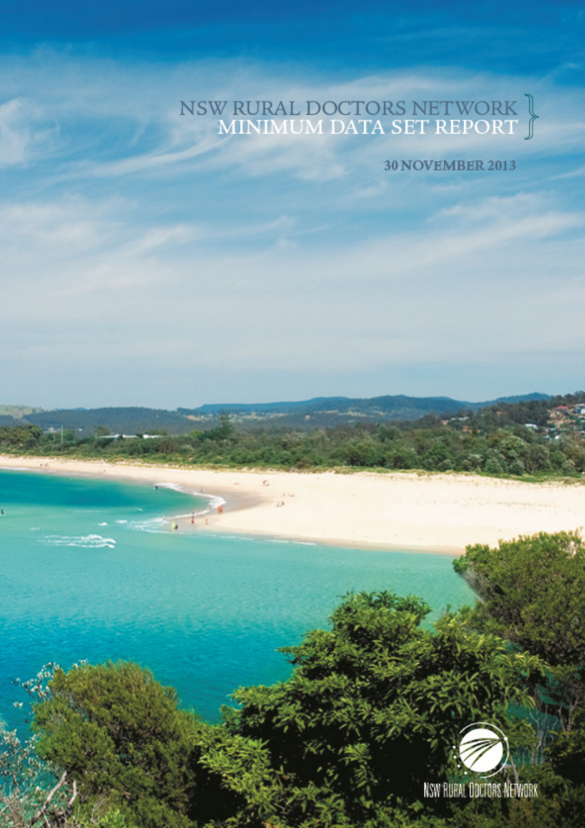# NSW RURAL DOCTORS NETWORK |<br>MINIMUM DATA SET REPORT J

**30 NOVEMBER 2013** 



NSW RUPAL ODCTORS NETWORK

 **i**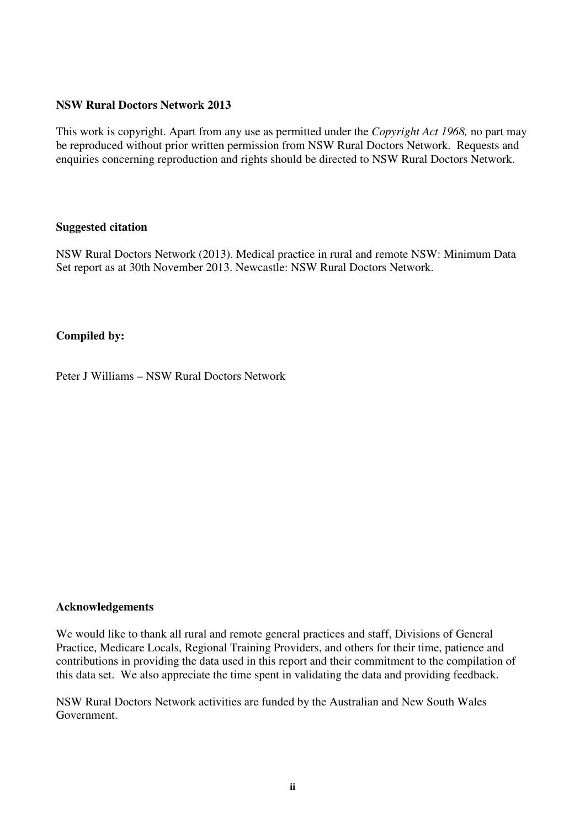#### **NSW Rural Doctors Network 2013**

This work is copyright. Apart from any use as permitted under the *Copyright Act 1968,* no part may be reproduced without prior written permission from NSW Rural Doctors Network. Requests and enquiries concerning reproduction and rights should be directed to NSW Rural Doctors Network.

#### **Suggested citation**

NSW Rural Doctors Network (2013). Medical practice in rural and remote NSW: Minimum Data Set report as at 30th November 2013. Newcastle: NSW Rural Doctors Network.

## **Compiled by:**

Peter J Williams – NSW Rural Doctors Network

#### **Acknowledgements**

We would like to thank all rural and remote general practices and staff, Divisions of General Practice, Medicare Locals, Regional Training Providers, and others for their time, patience and contributions in providing the data used in this report and their commitment to the compilation of this data set. We also appreciate the time spent in validating the data and providing feedback.

NSW Rural Doctors Network activities are funded by the Australian and New South Wales Government.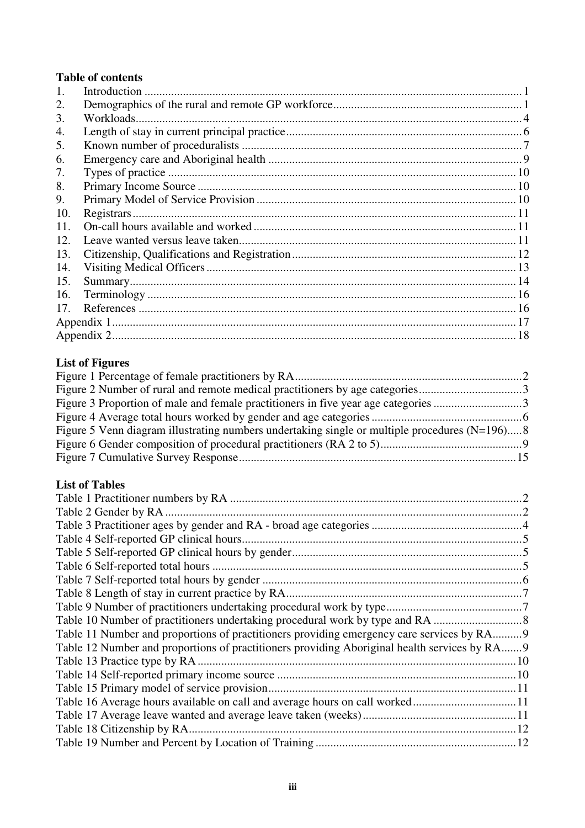# **Table of contents**

| $\mathbf{1}$ . |  |
|----------------|--|
| 2.             |  |
| 3.             |  |
| 4.             |  |
| 5.             |  |
| 6.             |  |
| 7.             |  |
| 8.             |  |
| 9.             |  |
| 10.            |  |
| 11.            |  |
| 12.            |  |
| 13.            |  |
| 14.            |  |
| 15.            |  |
| 16.            |  |
| 17.            |  |
|                |  |
|                |  |

## **List of Figures**

| Figure 5 Venn diagram illustrating numbers undertaking single or multiple procedures $(N=196)$ 8 |  |
|--------------------------------------------------------------------------------------------------|--|
|                                                                                                  |  |
|                                                                                                  |  |

# **List of Tables**

| Table 11 Number and proportions of practitioners providing emergency care services by RA9    |  |
|----------------------------------------------------------------------------------------------|--|
| Table 12 Number and proportions of practitioners providing Aboriginal health services by RA9 |  |
|                                                                                              |  |
|                                                                                              |  |
|                                                                                              |  |
|                                                                                              |  |
|                                                                                              |  |
|                                                                                              |  |
|                                                                                              |  |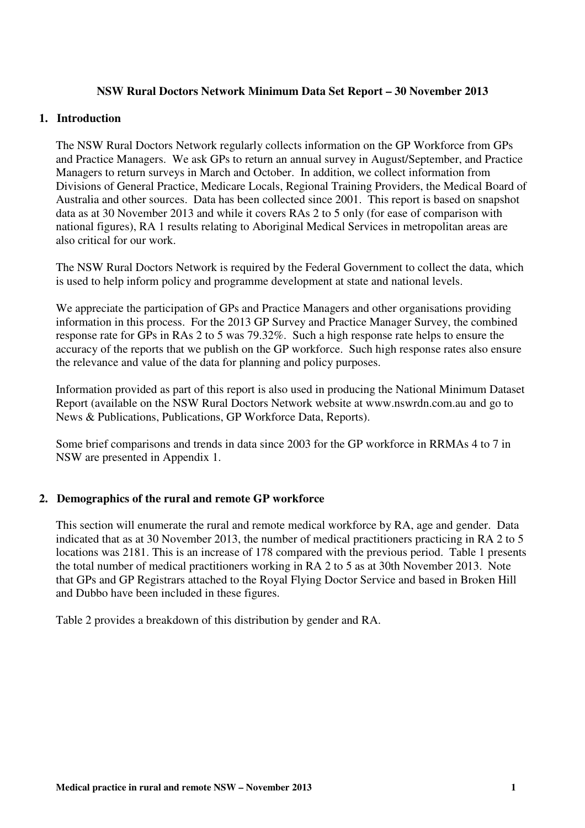#### **NSW Rural Doctors Network Minimum Data Set Report – 30 November 2013**

#### **1. Introduction**

The NSW Rural Doctors Network regularly collects information on the GP Workforce from GPs and Practice Managers. We ask GPs to return an annual survey in August/September, and Practice Managers to return surveys in March and October. In addition, we collect information from Divisions of General Practice, Medicare Locals, Regional Training Providers, the Medical Board of Australia and other sources. Data has been collected since 2001. This report is based on snapshot data as at 30 November 2013 and while it covers RAs 2 to 5 only (for ease of comparison with national figures), RA 1 results relating to Aboriginal Medical Services in metropolitan areas are also critical for our work.

The NSW Rural Doctors Network is required by the Federal Government to collect the data, which is used to help inform policy and programme development at state and national levels.

We appreciate the participation of GPs and Practice Managers and other organisations providing information in this process. For the 2013 GP Survey and Practice Manager Survey, the combined response rate for GPs in RAs 2 to 5 was 79.32%. Such a high response rate helps to ensure the accuracy of the reports that we publish on the GP workforce. Such high response rates also ensure the relevance and value of the data for planning and policy purposes.

Information provided as part of this report is also used in producing the National Minimum Dataset Report (available on the NSW Rural Doctors Network website at www.nswrdn.com.au and go to News & Publications, Publications, GP Workforce Data, Reports).

Some brief comparisons and trends in data since 2003 for the GP workforce in RRMAs 4 to 7 in NSW are presented in Appendix 1.

## **2. Demographics of the rural and remote GP workforce**

This section will enumerate the rural and remote medical workforce by RA, age and gender. Data indicated that as at 30 November 2013, the number of medical practitioners practicing in RA 2 to 5 locations was 2181. This is an increase of 178 compared with the previous period. Table 1 presents the total number of medical practitioners working in RA 2 to 5 as at 30th November 2013. Note that GPs and GP Registrars attached to the Royal Flying Doctor Service and based in Broken Hill and Dubbo have been included in these figures.

Table 2 provides a breakdown of this distribution by gender and RA.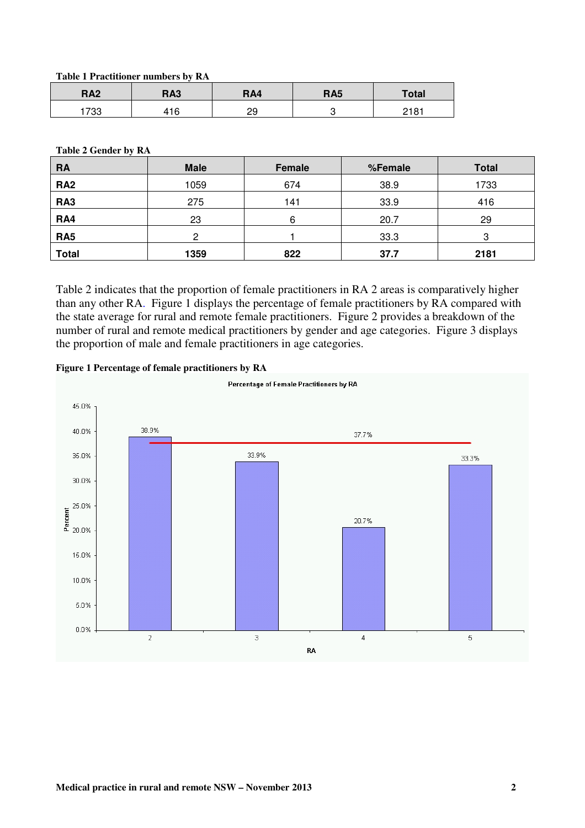**Table 1 Practitioner numbers by RA** 

| <b>RA2</b> | <b>RA3</b> | RA4 | <b>RA5</b> | <b>Total</b> |
|------------|------------|-----|------------|--------------|
| 733        | +16        | 29  |            | 2181         |

**Table 2 Gender by RA** 

| <b>RA</b>       | <b>Male</b> | Female | %Female | <b>Total</b> |  |
|-----------------|-------------|--------|---------|--------------|--|
| <b>RA2</b>      | 1059        | 674    | 38.9    | 1733         |  |
| RA <sub>3</sub> | 275         | 141    | 33.9    | 416          |  |
| RA4             | 23          | 6      | 20.7    | 29           |  |
| RA <sub>5</sub> | 2           |        | 33.3    | З            |  |
| <b>Total</b>    | 1359        | 822    | 37.7    | 2181         |  |

Table 2 indicates that the proportion of female practitioners in RA 2 areas is comparatively higher than any other RA. Figure 1 displays the percentage of female practitioners by RA compared with the state average for rural and remote female practitioners. Figure 2 provides a breakdown of the number of rural and remote medical practitioners by gender and age categories. Figure 3 displays the proportion of male and female practitioners in age categories.



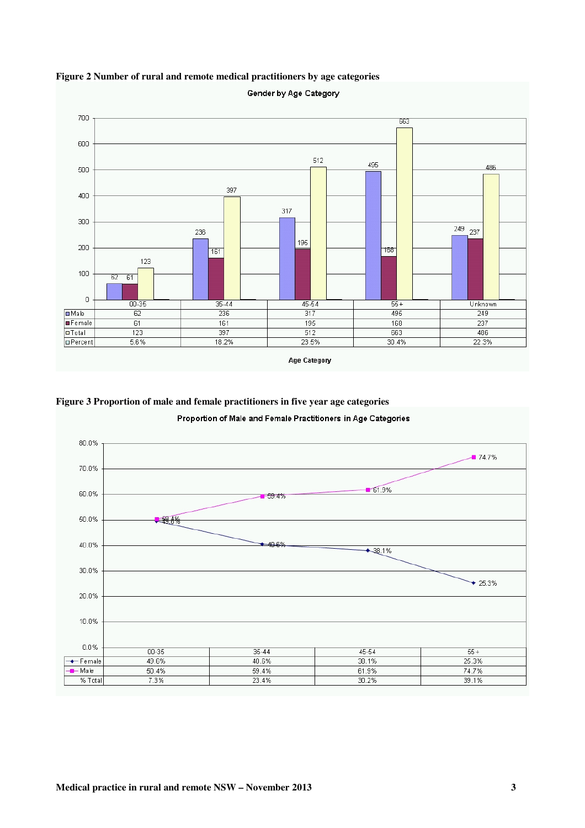

**Figure 2 Number of rural and remote medical practitioners by age categories** 

**Figure 3 Proportion of male and female practitioners in five year age categories** 



Proportion of Male and Female Practitioners in Age Categories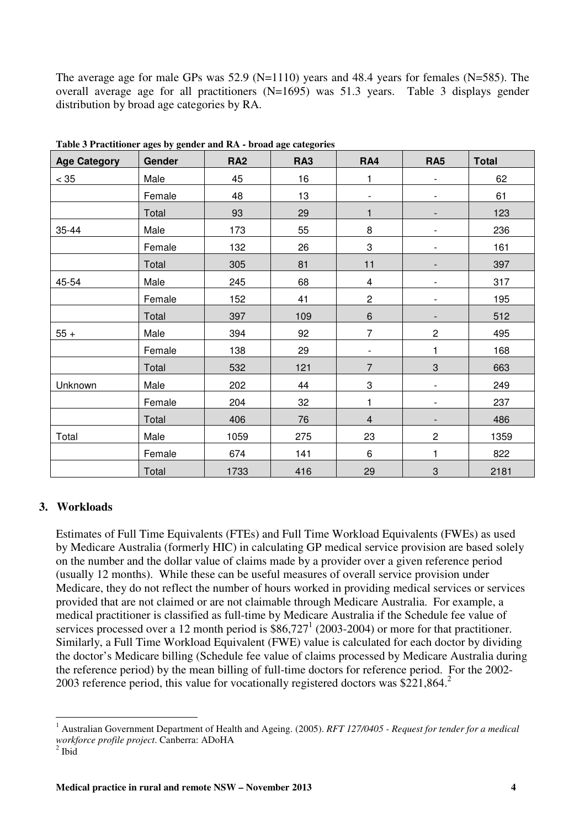The average age for male GPs was 52.9 (N=1110) years and 48.4 years for females (N=585). The overall average age for all practitioners (N=1695) was 51.3 years. Table 3 displays gender distribution by broad age categories by RA.

| rasive e rracumenter ages sy genuer and rur stroute age categories<br><b>Age Category</b> | Gender | <b>RA2</b> | RA <sub>3</sub> | RA4                       | <b>RA5</b>                | <b>Total</b> |
|-------------------------------------------------------------------------------------------|--------|------------|-----------------|---------------------------|---------------------------|--------------|
| < 35                                                                                      | Male   | 45         | 16              | 1                         | $\overline{\phantom{0}}$  | 62           |
|                                                                                           | Female | 48         | 13              |                           |                           | 61           |
|                                                                                           | Total  | 93         | 29              | 1                         |                           | 123          |
| 35-44                                                                                     | Male   | 173        | 55              | 8                         |                           | 236          |
|                                                                                           | Female | 132        | 26              | 3                         | $\overline{\phantom{0}}$  | 161          |
|                                                                                           | Total  | 305        | 81              | 11                        |                           | 397          |
| 45-54                                                                                     | Male   | 245        | 68              | $\overline{4}$            | $\overline{\phantom{0}}$  | 317          |
|                                                                                           | Female | 152        | 41              | $\overline{c}$            | $\overline{\phantom{0}}$  | 195          |
|                                                                                           | Total  | 397        | 109             | $\,6\,$                   | $\overline{\phantom{0}}$  | 512          |
| $55 +$                                                                                    | Male   | 394        | 92              | $\overline{7}$            | $\mathbf{2}$              | 495          |
|                                                                                           | Female | 138        | 29              |                           | 1                         | 168          |
|                                                                                           | Total  | 532        | 121             | $\overline{7}$            | 3                         | 663          |
| Unknown                                                                                   | Male   | 202        | 44              | $\ensuremath{\mathsf{3}}$ |                           | 249          |
|                                                                                           | Female | 204        | 32              | 1                         | $\overline{\phantom{0}}$  | 237          |
|                                                                                           | Total  | 406        | 76              | $\overline{4}$            |                           | 486          |
| Total                                                                                     | Male   | 1059       | 275             | 23                        | $\mathbf{2}$              | 1359         |
|                                                                                           | Female | 674        | 141             | 6                         | 1                         | 822          |
|                                                                                           | Total  | 1733       | 416             | 29                        | $\ensuremath{\mathsf{3}}$ | 2181         |

**Table 3 Practitioner ages by gender and RA - broad age categories** 

## **3. Workloads**

Estimates of Full Time Equivalents (FTEs) and Full Time Workload Equivalents (FWEs) as used by Medicare Australia (formerly HIC) in calculating GP medical service provision are based solely on the number and the dollar value of claims made by a provider over a given reference period (usually 12 months). While these can be useful measures of overall service provision under Medicare, they do not reflect the number of hours worked in providing medical services or services provided that are not claimed or are not claimable through Medicare Australia. For example, a medical practitioner is classified as full-time by Medicare Australia if the Schedule fee value of services processed over a 12 month period is  $$86,727^1$  (2003-2004) or more for that practitioner. Similarly, a Full Time Workload Equivalent (FWE) value is calculated for each doctor by dividing the doctor's Medicare billing (Schedule fee value of claims processed by Medicare Australia during the reference period) by the mean billing of full-time doctors for reference period. For the 2002- 2003 reference period, this value for vocationally registered doctors was \$221,864.<sup>2</sup>

 $\overline{a}$ <sup>1</sup> Australian Government Department of Health and Ageing. (2005). *RFT 127/0405 - Request for tender for a medical workforce profile project*. Canberra: ADoHA

 $<sup>2</sup>$  Ibid</sup>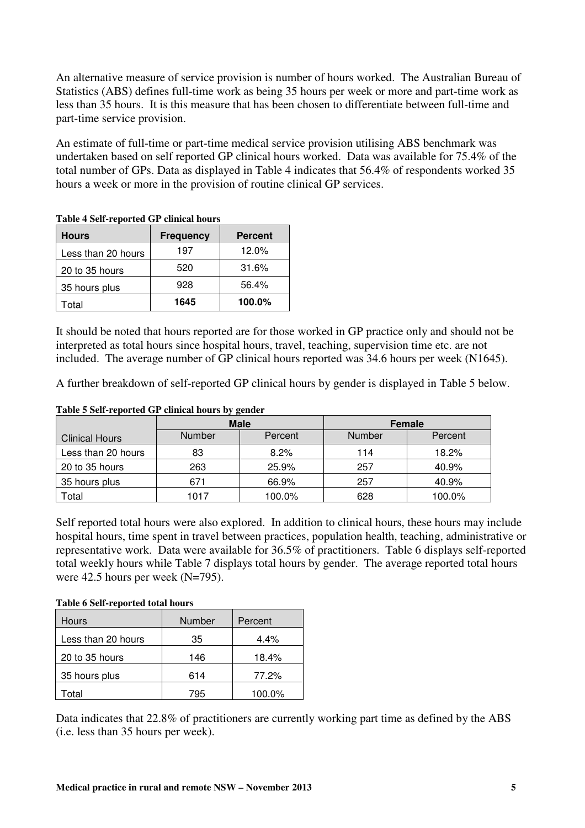An alternative measure of service provision is number of hours worked. The Australian Bureau of Statistics (ABS) defines full-time work as being 35 hours per week or more and part-time work as less than 35 hours. It is this measure that has been chosen to differentiate between full-time and part-time service provision.

An estimate of full-time or part-time medical service provision utilising ABS benchmark was undertaken based on self reported GP clinical hours worked. Data was available for 75.4% of the total number of GPs. Data as displayed in Table 4 indicates that 56.4% of respondents worked 35 hours a week or more in the provision of routine clinical GP services.

| <b>Hours</b>       | <b>Frequency</b> | <b>Percent</b> |  |  |  |
|--------------------|------------------|----------------|--|--|--|
| Less than 20 hours | 197              | 12.0%          |  |  |  |
| 20 to 35 hours     | 520              | 31.6%          |  |  |  |
| 35 hours plus      | 928              | 56.4%          |  |  |  |
| Total              | 1645             | 100.0%         |  |  |  |

**Table 4 Self-reported GP clinical hours** 

It should be noted that hours reported are for those worked in GP practice only and should not be interpreted as total hours since hospital hours, travel, teaching, supervision time etc. are not included. The average number of GP clinical hours reported was 34.6 hours per week (N1645).

A further breakdown of self-reported GP clinical hours by gender is displayed in Table 5 below.

#### **Table 5 Self-reported GP clinical hours by gender**

|                       | <b>Male</b> |         |        | Female  |
|-----------------------|-------------|---------|--------|---------|
| <b>Clinical Hours</b> | Number      | Percent | Number | Percent |
| Less than 20 hours    | 83          | 8.2%    | 114    | 18.2%   |
| 20 to 35 hours        | 263         | 25.9%   | 257    | 40.9%   |
| 35 hours plus         | 671         | 66.9%   | 257    | 40.9%   |
| Total                 | 1017        | 100.0%  | 628    | 100.0%  |

Self reported total hours were also explored. In addition to clinical hours, these hours may include hospital hours, time spent in travel between practices, population health, teaching, administrative or representative work. Data were available for 36.5% of practitioners. Table 6 displays self-reported total weekly hours while Table 7 displays total hours by gender. The average reported total hours were 42.5 hours per week (N=795).

#### **Table 6 Self-reported total hours**

| <b>Hours</b>       | Number | Percent |
|--------------------|--------|---------|
| Less than 20 hours | 35     | $4.4\%$ |
| 20 to 35 hours     | 146    | 18.4%   |
| 35 hours plus      | 614    | 77.2%   |
| Гоtal              | 795    | 100.0%  |

Data indicates that 22.8% of practitioners are currently working part time as defined by the ABS (i.e. less than 35 hours per week).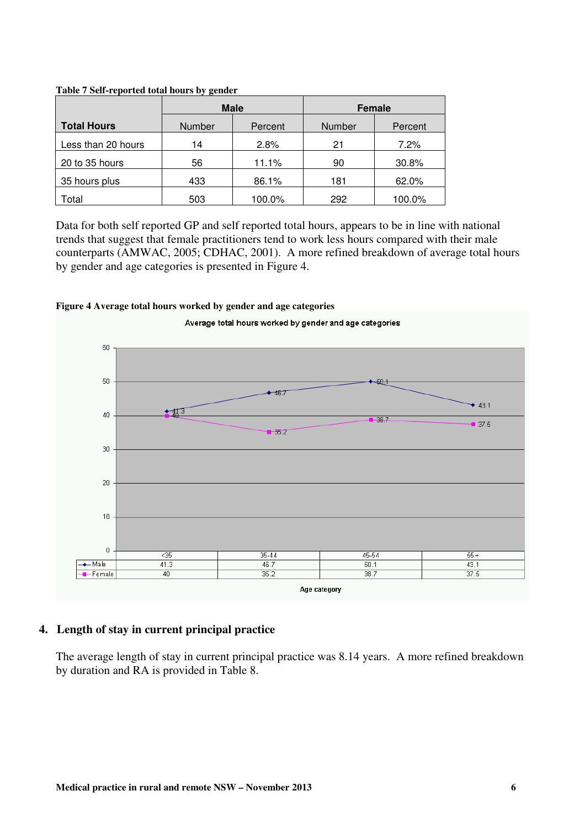|                    |                   | <b>Male</b> |        | Female  |
|--------------------|-------------------|-------------|--------|---------|
| <b>Total Hours</b> | Number<br>Percent |             | Number | Percent |
| Less than 20 hours | 14                | 2.8%        | 21     | $7.2\%$ |
| 20 to 35 hours     | 56                | 11.1%       | 90     | 30.8%   |
| 35 hours plus      | 433               | 86.1%       | 181    | 62.0%   |
| Total              | 503               | 100.0%      | 292    | 100.0%  |

**Table 7 Self-reported total hours by gender** 

Data for both self reported GP and self reported total hours, appears to be in line with national trends that suggest that female practitioners tend to work less hours compared with their male counterparts (AMWAC, 2005; CDHAC, 2001). A more refined breakdown of average total hours by gender and age categories is presented in Figure 4.

#### **Figure 4 Average total hours worked by gender and age categories**



## **4. Length of stay in current principal practice**

The average length of stay in current principal practice was 8.14 years. A more refined breakdown by duration and RA is provided in Table 8.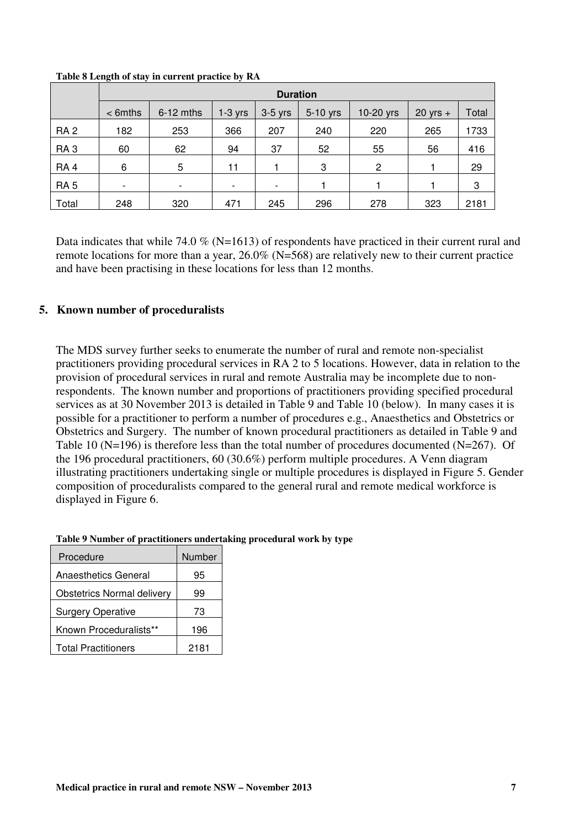|                 | <b>Duration</b> |             |                          |           |          |                |              |       |
|-----------------|-----------------|-------------|--------------------------|-----------|----------|----------------|--------------|-------|
|                 | $<$ 6mths       | $6-12$ mths | $1-3$ yrs                | $3-5$ yrs | 5-10 yrs | 10-20 yrs      | $20$ yrs $+$ | Total |
| RA <sub>2</sub> | 182             | 253         | 366                      | 207       | 240      | 220            | 265          | 1733  |
| RA <sub>3</sub> | 60              | 62          | 94                       | 37        | 52       | 55             | 56           | 416   |
| RA <sub>4</sub> | 6               | 5           | 11                       |           | 3        | $\overline{2}$ |              | 29    |
| RA <sub>5</sub> | ٠               |             | $\overline{\phantom{a}}$ |           |          |                |              | 3     |
| Total           | 248             | 320         | 471                      | 245       | 296      | 278            | 323          | 2181  |

#### **Table 8 Length of stay in current practice by RA**

Data indicates that while 74.0 % (N=1613) of respondents have practiced in their current rural and remote locations for more than a year, 26.0% (N=568) are relatively new to their current practice and have been practising in these locations for less than 12 months.

## **5. Known number of proceduralists**

The MDS survey further seeks to enumerate the number of rural and remote non-specialist practitioners providing procedural services in RA 2 to 5 locations. However, data in relation to the provision of procedural services in rural and remote Australia may be incomplete due to nonrespondents. The known number and proportions of practitioners providing specified procedural services as at 30 November 2013 is detailed in Table 9 and Table 10 (below). In many cases it is possible for a practitioner to perform a number of procedures e.g., Anaesthetics and Obstetrics or Obstetrics and Surgery. The number of known procedural practitioners as detailed in Table 9 and Table 10 (N=196) is therefore less than the total number of procedures documented (N=267). Of the 196 procedural practitioners, 60 (30.6%) perform multiple procedures. A Venn diagram illustrating practitioners undertaking single or multiple procedures is displayed in Figure 5. Gender composition of proceduralists compared to the general rural and remote medical workforce is displayed in Figure 6.

| Procedure                         | Number |
|-----------------------------------|--------|
| <b>Anaesthetics General</b>       | 95     |
| <b>Obstetrics Normal delivery</b> | 99     |
| <b>Surgery Operative</b>          | 73     |
| Known Proceduralists**            | 196    |
| <b>Total Practitioners</b>        | 2181   |

#### **Table 9 Number of practitioners undertaking procedural work by type**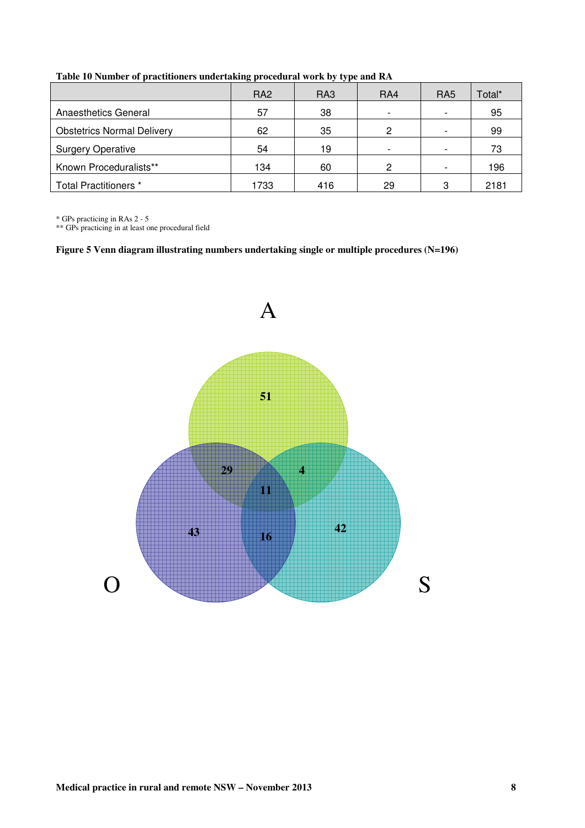|                                   | RA <sub>2</sub> | RA3 | RA4                      | RA <sub>5</sub>          | Total* |
|-----------------------------------|-----------------|-----|--------------------------|--------------------------|--------|
| <b>Anaesthetics General</b>       | 57              | 38  | $\overline{\phantom{0}}$ | $\overline{\phantom{a}}$ | 95     |
| <b>Obstetrics Normal Delivery</b> | 62              | 35  | 2                        | $\overline{\phantom{a}}$ | 99     |
| <b>Surgery Operative</b>          | 54              | 19  | $\overline{\phantom{0}}$ | $\overline{\phantom{a}}$ | 73     |
| Known Proceduralists**            | 134             | 60  | 2                        | $\overline{\phantom{a}}$ | 196    |
| Total Practitioners *             | 1733            | 416 | 29                       | 3                        | 2181   |

**Table 10 Number of practitioners undertaking procedural work by type and RA** 

\* GPs practicing in RAs 2 - 5

\*\* GPs practicing in at least one procedural field

**Figure 5 Venn diagram illustrating numbers undertaking single or multiple procedures (N=196)** 

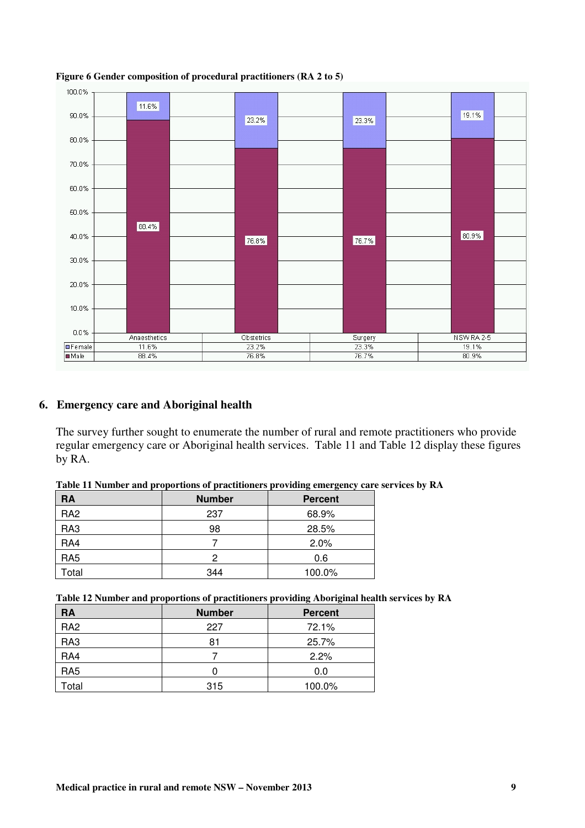

#### **Figure 6 Gender composition of procedural practitioners (RA 2 to 5)**

## **6. Emergency care and Aboriginal health**

The survey further sought to enumerate the number of rural and remote practitioners who provide regular emergency care or Aboriginal health services. Table 11 and Table 12 display these figures by RA.

| Table 11 Number and proportions of practitioners providing emergency care services by RA |  |
|------------------------------------------------------------------------------------------|--|
|                                                                                          |  |

| <b>RA</b>       | <b>Number</b> | <b>Percent</b> |
|-----------------|---------------|----------------|
| RA <sub>2</sub> | 237           | 68.9%          |
| RA3             | 98            | 28.5%          |
| RA4             |               | 2.0%           |
| RA <sub>5</sub> | 2             | 0.6            |
| Total           | 344           | 100.0%         |

|  |  |  | Table 12 Number and proportions of practitioners providing Aboriginal health services by RA |  |
|--|--|--|---------------------------------------------------------------------------------------------|--|
|  |  |  |                                                                                             |  |

| <b>RA</b>       | <b>Number</b> | <b>Percent</b> |
|-----------------|---------------|----------------|
| RA <sub>2</sub> | 227           | 72.1%          |
| RA3             | 81            | 25.7%          |
| RA4             |               | 2.2%           |
| RA <sub>5</sub> |               | 0.0            |
| Total           | 315           | 100.0%         |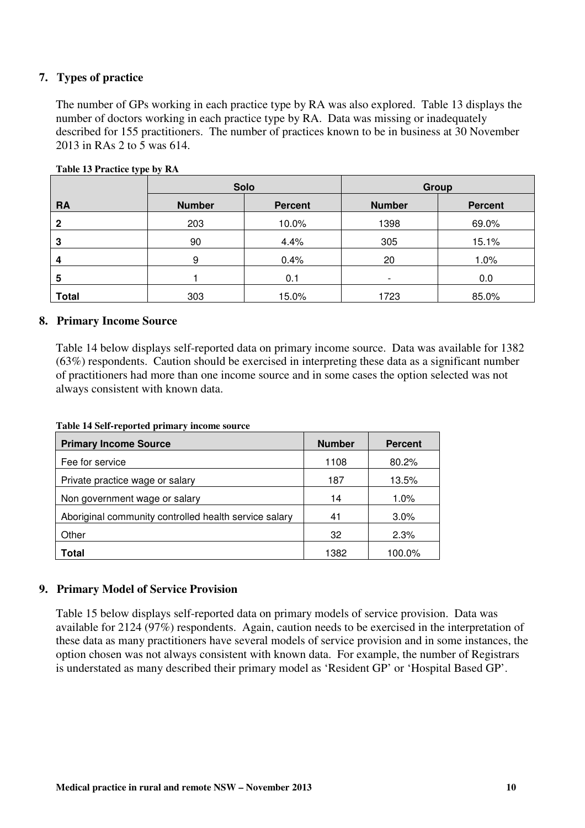## **7. Types of practice**

The number of GPs working in each practice type by RA was also explored. Table 13 displays the number of doctors working in each practice type by RA. Data was missing or inadequately described for 155 practitioners. The number of practices known to be in business at 30 November 2013 in RAs 2 to 5 was 614.

|              |               | <b>Solo</b>    | Group                    |                |  |
|--------------|---------------|----------------|--------------------------|----------------|--|
| <b>RA</b>    | <b>Number</b> | <b>Percent</b> | <b>Number</b>            | <b>Percent</b> |  |
| 2            | 203           | 10.0%          | 1398                     | 69.0%          |  |
| 3            | 90            | 4.4%           | 305                      | 15.1%          |  |
| 4            | 9             | 0.4%           | 20                       | 1.0%           |  |
| 5            |               | 0.1            | $\overline{\phantom{0}}$ | 0.0            |  |
| <b>Total</b> | 303           | 15.0%          | 1723                     | 85.0%          |  |

#### **Table 13 Practice type by RA**

#### **8. Primary Income Source**

Table 14 below displays self-reported data on primary income source. Data was available for 1382 (63%) respondents. Caution should be exercised in interpreting these data as a significant number of practitioners had more than one income source and in some cases the option selected was not always consistent with known data.

| <b>Primary Income Source</b>                          | <b>Number</b> | <b>Percent</b> |
|-------------------------------------------------------|---------------|----------------|
| Fee for service                                       | 1108          | 80.2%          |
| Private practice wage or salary                       | 187           | 13.5%          |
| Non government wage or salary                         | 14            | 1.0%           |
| Aboriginal community controlled health service salary | 41            | 3.0%           |
| Other                                                 | 32            | 2.3%           |
| Total                                                 | 1382          | 100.0%         |

**Table 14 Self-reported primary income source** 

## **9. Primary Model of Service Provision**

Table 15 below displays self-reported data on primary models of service provision. Data was available for 2124 (97%) respondents. Again, caution needs to be exercised in the interpretation of these data as many practitioners have several models of service provision and in some instances, the option chosen was not always consistent with known data. For example, the number of Registrars is understated as many described their primary model as 'Resident GP' or 'Hospital Based GP'.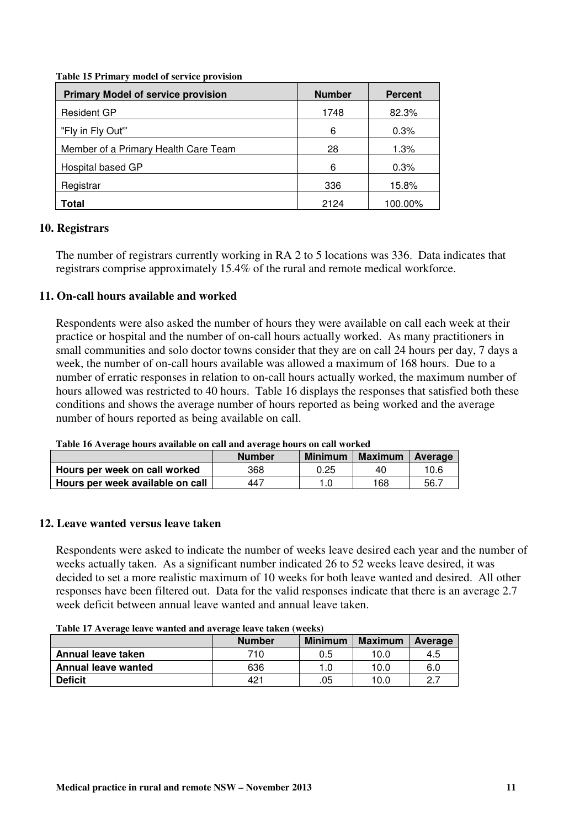| <b>Primary Model of service provision</b> | <b>Number</b> | <b>Percent</b> |
|-------------------------------------------|---------------|----------------|
| <b>Resident GP</b>                        | 1748          | 82.3%          |
| "Fly in Fly Out"                          | 6             | 0.3%           |
| Member of a Primary Health Care Team      | 28            | 1.3%           |
| Hospital based GP                         | 6             | 0.3%           |
| Registrar                                 | 336           | 15.8%          |
| Total                                     | 2124          | 100.00%        |

**Table 15 Primary model of service provision** 

## **10. Registrars**

The number of registrars currently working in RA 2 to 5 locations was 336. Data indicates that registrars comprise approximately 15.4% of the rural and remote medical workforce.

## **11. On-call hours available and worked**

Respondents were also asked the number of hours they were available on call each week at their practice or hospital and the number of on-call hours actually worked. As many practitioners in small communities and solo doctor towns consider that they are on call 24 hours per day, 7 days a week, the number of on-call hours available was allowed a maximum of 168 hours. Due to a number of erratic responses in relation to on-call hours actually worked, the maximum number of hours allowed was restricted to 40 hours. Table 16 displays the responses that satisfied both these conditions and shows the average number of hours reported as being worked and the average number of hours reported as being available on call.

| Table To Average hours available on can and average hours on can worked |               |                |                |         |  |  |
|-------------------------------------------------------------------------|---------------|----------------|----------------|---------|--|--|
|                                                                         | <b>Number</b> | <b>Minimum</b> | <b>Maximum</b> | Average |  |  |
| Hours per week on call worked                                           | 368           | 0.25           | 40             | 10.6    |  |  |
| Hours per week available on call                                        | 447           |                | 168            | 56.7    |  |  |

**Table 16 Average hours available on call and average hours on call worked** 

#### **12. Leave wanted versus leave taken**

Respondents were asked to indicate the number of weeks leave desired each year and the number of weeks actually taken. As a significant number indicated 26 to 52 weeks leave desired, it was decided to set a more realistic maximum of 10 weeks for both leave wanted and desired. All other responses have been filtered out. Data for the valid responses indicate that there is an average 2.7 week deficit between annual leave wanted and annual leave taken.

**Table 17 Average leave wanted and average leave taken (weeks)** 

|                            | <b>Number</b> | <b>Minimum</b> | <b>Maximum</b> | Average         |  |  |
|----------------------------|---------------|----------------|----------------|-----------------|--|--|
| Annual leave taken         | 710           | 0.5            | 10.0           | 4.5             |  |  |
| <b>Annual leave wanted</b> | 636           |                | 10.0           | 6.0             |  |  |
| <b>Deficit</b>             | $42^+$        | .05            | 10.0           | ר מ<br><u>.</u> |  |  |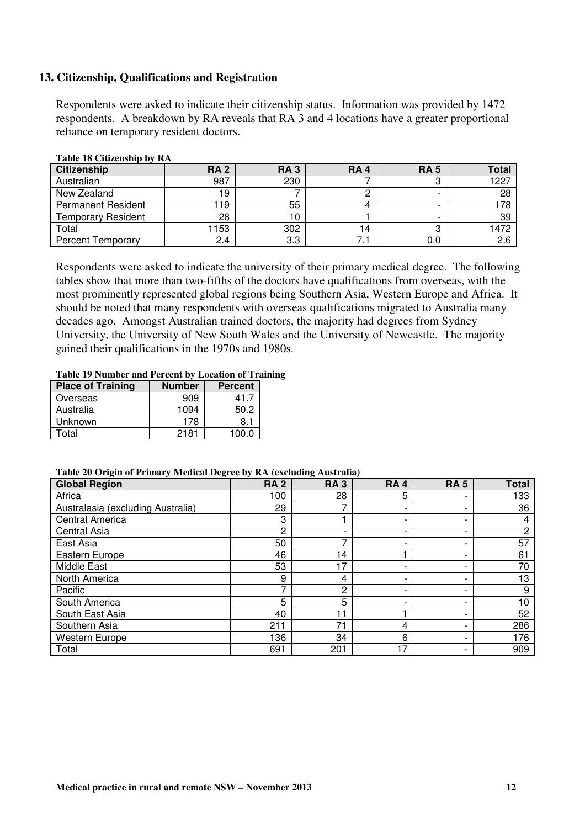#### **13. Citizenship, Qualifications and Registration**

Respondents were asked to indicate their citizenship status. Information was provided by 1472 respondents. A breakdown by RA reveals that RA 3 and 4 locations have a greater proportional reliance on temporary resident doctors.

| <b>Citizenship</b>        | <b>RA2</b> | <b>RA3</b> | <b>RA4</b> | <b>RA 5</b>              | <b>Total</b> |
|---------------------------|------------|------------|------------|--------------------------|--------------|
| Australian                | 987        | 230        |            | ں                        | 1227         |
| New Zealand               | 19         |            |            |                          | 28           |
| <b>Permanent Resident</b> | 19         | 55         |            | $\overline{\phantom{0}}$ | 78،          |
| <b>Temporary Resident</b> | 28         |            |            |                          | 39           |
| Total                     | 153        | 302        |            |                          | 1472         |
| <b>Percent Temporary</b>  | 2.4        | 3.3        |            | 0.0                      | 2.6          |

#### **Table 18 Citizenship by RA**

Respondents were asked to indicate the university of their primary medical degree. The following tables show that more than two-fifths of the doctors have qualifications from overseas, with the most prominently represented global regions being Southern Asia, Western Europe and Africa. It should be noted that many respondents with overseas qualifications migrated to Australia many decades ago. Amongst Australian trained doctors, the majority had degrees from Sydney University, the University of New South Wales and the University of Newcastle. The majority gained their qualifications in the 1970s and 1980s.

#### **Table 19 Number and Percent by Location of Training**

| <b>Place of Training</b> | <b>Number</b> | <b>Percent</b> |
|--------------------------|---------------|----------------|
| Overseas                 | 909           | 41.7           |
| Australia                | 1094          | 50.2           |
| Unknown                  | 178           | 8.1            |
| Γotal                    | 2181          | 1በበ በ          |

#### **Table 20 Origin of Primary Medical Degree by RA (excluding Australia)**

| <b>Global Region</b>              | <b>RA2</b> | <b>RA3</b>     | <b>RA4</b> | <b>RA5</b>               | <b>Total</b>   |
|-----------------------------------|------------|----------------|------------|--------------------------|----------------|
| Africa                            | 00         | 28             | 5          | -                        | 133            |
| Australasia (excluding Australia) | 29         |                |            | -                        | 36             |
| <b>Central America</b>            | 3          |                |            | $\overline{\phantom{0}}$ | 4              |
| <b>Central Asia</b>               | 2          |                |            | $\overline{\phantom{0}}$ | $\overline{c}$ |
| East Asia                         | 50         |                |            | -                        | 57             |
| Eastern Europe                    | 46         | $\overline{4}$ |            | $\overline{\phantom{0}}$ | 61             |
| Middle East                       | 53         | $\overline{7}$ |            | -                        | 70             |
| North America                     | 9          | 4              |            | -                        | 13             |
| Pacific                           | ⇁          | 2              |            | -                        | 9              |
| South America                     | 5          | 5              |            | -                        | 10             |
| South East Asia                   | 40         | -1             |            | -                        | 52             |
| Southern Asia                     | 211        | 71             | 4          | $\overline{\phantom{0}}$ | 286            |
| <b>Western Europe</b>             | 36         | 34             | 6          | $\overline{\phantom{0}}$ | 176            |
| Total                             | 691        | 201            | 17         | -                        | 909            |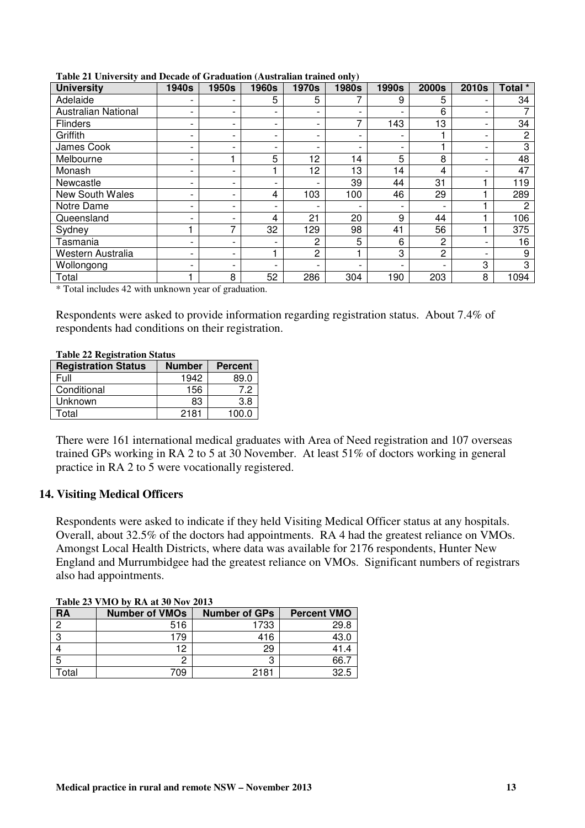| <b>University</b>          | <b>1940s</b> | 1950s | <b>1960s</b> | <b>1970s</b>             | <b>1980s</b> | <b>1990s</b> | <b>2000s</b> | 2010s                    | Total *        |
|----------------------------|--------------|-------|--------------|--------------------------|--------------|--------------|--------------|--------------------------|----------------|
| Adelaide                   |              | -     | 5            | 5                        |              | 9            | 5            |                          | 34             |
| <b>Australian National</b> |              | -     |              |                          |              | -            | 6            |                          |                |
| <b>Flinders</b>            |              | -     |              | $\overline{\phantom{a}}$ | ⇁            | 143          | 13           |                          | 34             |
| Griffith                   |              | -     |              | $\overline{\phantom{a}}$ |              | -            |              | $\blacksquare$           | 2              |
| James Cook                 |              | ٠     |              | $\overline{\phantom{0}}$ |              | -            |              | $\overline{\phantom{0}}$ | 3              |
| Melbourne                  |              |       | 5            | 12                       | 14           | 5            | 8            |                          | 48             |
| Monash                     |              | -     |              | 12                       | 13           | 14           | 4            |                          | 47             |
| Newcastle                  |              | -     |              |                          | 39           | 44           | 31           |                          | 119            |
| <b>New South Wales</b>     |              | -     | 4            | 103                      | 100          | 46           | 29           |                          | 289            |
| Notre Dame                 |              | -     |              |                          |              | ٠            |              |                          | $\overline{2}$ |
| Queensland                 |              | -     | 4            | 21                       | 20           | 9            | 44           |                          | 106            |
| Sydney                     |              | 7     | 32           | 129                      | 98           | 41           | 56           |                          | 375            |
| Tasmania                   |              | -     |              | 2                        | 5            | 6            | 2            |                          | 16             |
| Western Australia          |              | -     |              | 2                        |              | 3            | 2            |                          | 9              |
| Wollongong                 |              | -     |              | $\overline{\phantom{0}}$ |              | -            |              | 3                        | 3              |
| Total                      |              | 8     | 52           | 286                      | 304          | 190          | 203          | 8                        | 1094           |

**Table 21 University and Decade of Graduation (Australian trained only)** 

\* Total includes 42 with unknown year of graduation.

Respondents were asked to provide information regarding registration status. About 7.4% of respondents had conditions on their registration.

| Table 22 Registration Status |               |                |  |  |  |  |  |
|------------------------------|---------------|----------------|--|--|--|--|--|
| <b>Registration Status</b>   | <b>Number</b> | <b>Percent</b> |  |  |  |  |  |
| Full                         | 1942          | 89.0           |  |  |  |  |  |
| Conditional                  | 156           | 7.2            |  |  |  |  |  |
| Unknown                      | 83            | 3.8            |  |  |  |  |  |
| Total                        | 2181          | 100.0          |  |  |  |  |  |

**Table 22 Registration Status** 

There were 161 international medical graduates with Area of Need registration and 107 overseas trained GPs working in RA 2 to 5 at 30 November. At least 51% of doctors working in general practice in RA 2 to 5 were vocationally registered.

#### **14. Visiting Medical Officers**

Respondents were asked to indicate if they held Visiting Medical Officer status at any hospitals. Overall, about 32.5% of the doctors had appointments. RA 4 had the greatest reliance on VMOs. Amongst Local Health Districts, where data was available for 2176 respondents, Hunter New England and Murrumbidgee had the greatest reliance on VMOs. Significant numbers of registrars also had appointments.

|           | <b>Table 23 VIVIO By RA at 30 INOV 2013</b> |                      |                    |  |  |  |  |  |  |  |
|-----------|---------------------------------------------|----------------------|--------------------|--|--|--|--|--|--|--|
| <b>RA</b> | <b>Number of VMOs</b>                       | <b>Number of GPs</b> | <b>Percent VMO</b> |  |  |  |  |  |  |  |
|           | 516                                         | 1733                 | 29.8               |  |  |  |  |  |  |  |
|           | 179                                         | 416                  | 43.0               |  |  |  |  |  |  |  |
|           | 12                                          | 29                   | 41.4               |  |  |  |  |  |  |  |
|           |                                             | 3                    | 66.7               |  |  |  |  |  |  |  |
| otal      | 709                                         | 2181                 | 32.5               |  |  |  |  |  |  |  |

**Table 23 VMO by RA at 30 Nov 2013**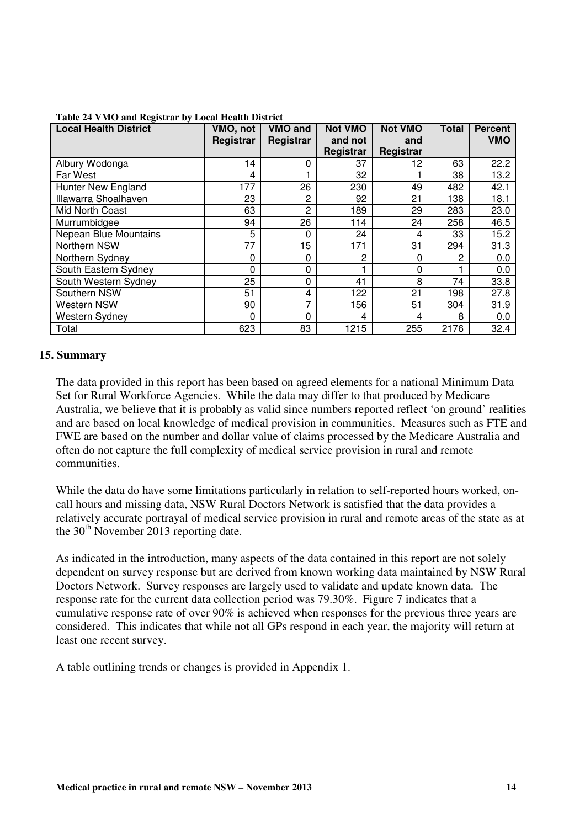| <b>Local Health District</b> | VMO, not<br>Registrar | VMO and<br>Registrar | <b>Not VMO</b><br>and not | <b>Not VMO</b><br>and | <b>Total</b> | <b>Percent</b><br><b>VMO</b> |
|------------------------------|-----------------------|----------------------|---------------------------|-----------------------|--------------|------------------------------|
|                              |                       |                      | Registrar                 | Registrar             |              |                              |
| Albury Wodonga               | 14                    | 0                    | 37                        | 12                    | 63           | 22.2                         |
| Far West                     | 4                     |                      | 32                        |                       | 38           | 13.2                         |
| <b>Hunter New England</b>    | 177                   | 26                   | 230                       | 49                    | 482          | 42.1                         |
| Illawarra Shoalhaven         | 23                    | 2                    | 92                        | 21                    | 138          | 18.1                         |
| Mid North Coast              | 63                    | 2                    | 189                       | 29                    | 283          | 23.0                         |
| Murrumbidgee                 | 94                    | 26                   | 114                       | 24                    | 258          | 46.5                         |
| Nepean Blue Mountains        | 5                     | 0                    | 24                        | 4                     | 33           | 15.2                         |
| Northern NSW                 | 77                    | 15                   | 171                       | 31                    | 294          | 31.3                         |
| Northern Sydney              | 0                     | 0                    | 2                         | 0                     | $\mathbf{2}$ | 0.0                          |
| South Eastern Sydney         | 0                     | 0                    |                           | 0                     |              | 0.0                          |
| South Western Sydney         | 25                    | 0                    | 41                        | 8                     | 74           | 33.8                         |
| Southern NSW                 | 51                    | 4                    | 122                       | 21                    | 198          | 27.8                         |
| Western NSW                  | 90                    |                      | 156                       | 51                    | 304          | 31.9                         |
| <b>Western Sydney</b>        | 0                     | 0                    | 4                         | 4                     | 8            | 0.0                          |
| Total                        | 623                   | 83                   | 1215                      | 255                   | 2176         | 32.4                         |

#### **Table 24 VMO and Registrar by Local Health District**

#### **15. Summary**

The data provided in this report has been based on agreed elements for a national Minimum Data Set for Rural Workforce Agencies. While the data may differ to that produced by Medicare Australia, we believe that it is probably as valid since numbers reported reflect 'on ground' realities and are based on local knowledge of medical provision in communities. Measures such as FTE and FWE are based on the number and dollar value of claims processed by the Medicare Australia and often do not capture the full complexity of medical service provision in rural and remote communities.

While the data do have some limitations particularly in relation to self-reported hours worked, oncall hours and missing data, NSW Rural Doctors Network is satisfied that the data provides a relatively accurate portrayal of medical service provision in rural and remote areas of the state as at the  $30<sup>th</sup>$  November 2013 reporting date.

As indicated in the introduction, many aspects of the data contained in this report are not solely dependent on survey response but are derived from known working data maintained by NSW Rural Doctors Network. Survey responses are largely used to validate and update known data. The response rate for the current data collection period was 79.30%. Figure 7 indicates that a cumulative response rate of over 90% is achieved when responses for the previous three years are considered. This indicates that while not all GPs respond in each year, the majority will return at least one recent survey.

A table outlining trends or changes is provided in Appendix 1.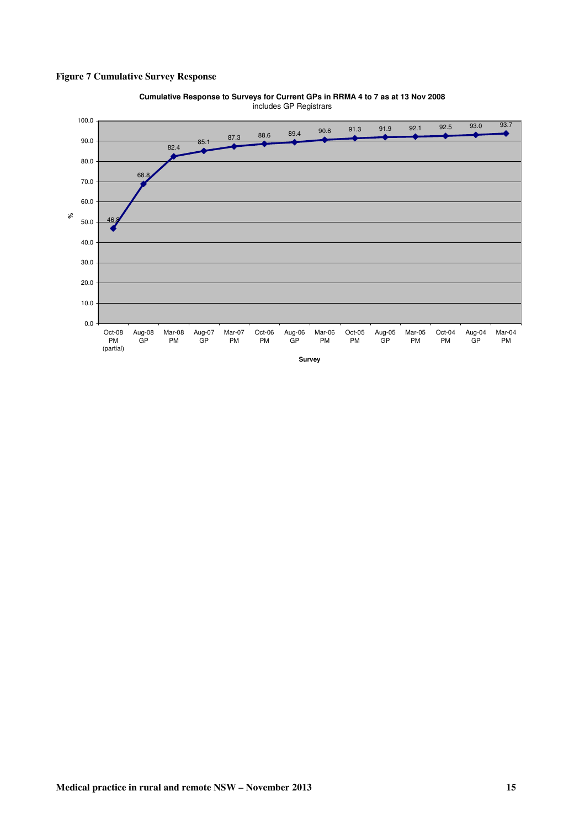#### **Figure 7 Cumulative Survey Response**



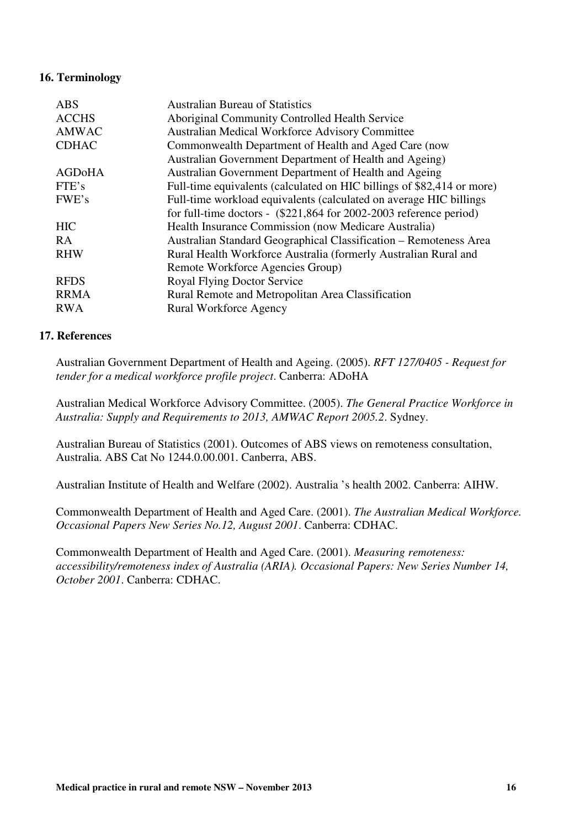#### **16. Terminology**

| <b>ABS</b>   | <b>Australian Bureau of Statistics</b>                                 |
|--------------|------------------------------------------------------------------------|
| <b>ACCHS</b> | Aboriginal Community Controlled Health Service                         |
| AMWAC        | Australian Medical Workforce Advisory Committee                        |
| <b>CDHAC</b> | Commonwealth Department of Health and Aged Care (now                   |
|              | Australian Government Department of Health and Ageing)                 |
| AGDoHA       | Australian Government Department of Health and Ageing                  |
| FTE's        | Full-time equivalents (calculated on HIC billings of \$82,414 or more) |
| FWE's        | Full-time workload equivalents (calculated on average HIC billings     |
|              | for full-time doctors - $(\$221,864$ for 2002-2003 reference period)   |
| <b>HIC</b>   | Health Insurance Commission (now Medicare Australia)                   |
| RA           | Australian Standard Geographical Classification – Remoteness Area      |
| <b>RHW</b>   | Rural Health Workforce Australia (formerly Australian Rural and        |
|              | Remote Workforce Agencies Group)                                       |
| <b>RFDS</b>  | <b>Royal Flying Doctor Service</b>                                     |
| <b>RRMA</b>  | Rural Remote and Metropolitan Area Classification                      |
| <b>RWA</b>   | <b>Rural Workforce Agency</b>                                          |

#### **17. References**

Australian Government Department of Health and Ageing. (2005). *RFT 127/0405 - Request for tender for a medical workforce profile project*. Canberra: ADoHA

Australian Medical Workforce Advisory Committee. (2005). *The General Practice Workforce in Australia: Supply and Requirements to 2013, AMWAC Report 2005.2*. Sydney.

Australian Bureau of Statistics (2001). Outcomes of ABS views on remoteness consultation, Australia. ABS Cat No 1244.0.00.001. Canberra, ABS.

Australian Institute of Health and Welfare (2002). Australia 's health 2002. Canberra: AIHW.

Commonwealth Department of Health and Aged Care. (2001). *The Australian Medical Workforce. Occasional Papers New Series No.12, August 2001*. Canberra: CDHAC.

Commonwealth Department of Health and Aged Care. (2001). *Measuring remoteness: accessibility/remoteness index of Australia (ARIA). Occasional Papers: New Series Number 14, October 2001*. Canberra: CDHAC.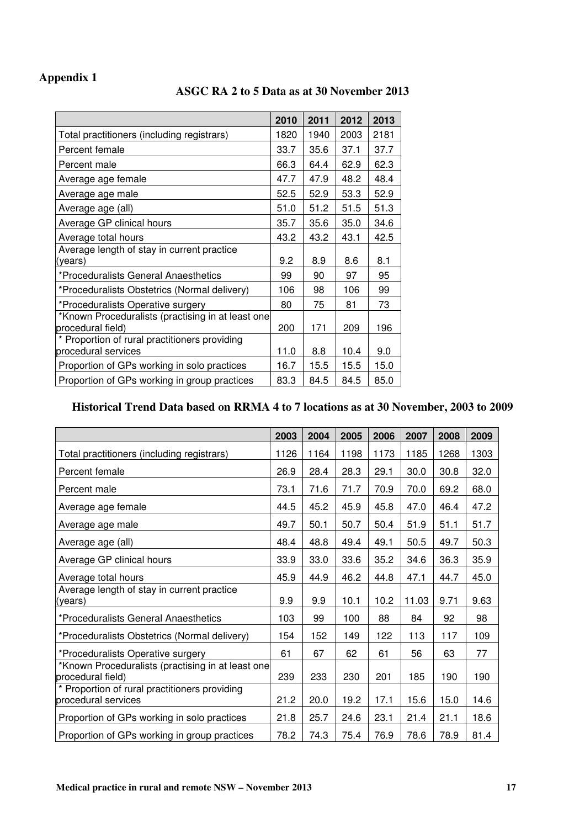# **Appendix 1**

## **ASGC RA 2 to 5 Data as at 30 November 2013**

|                                                                        | 2010 | 2011 | 2012 | 2013 |
|------------------------------------------------------------------------|------|------|------|------|
| Total practitioners (including registrars)                             | 1820 | 1940 | 2003 | 2181 |
| Percent female                                                         | 33.7 | 35.6 | 37.1 | 37.7 |
| Percent male                                                           | 66.3 | 64.4 | 62.9 | 62.3 |
| Average age female                                                     | 47.7 | 47.9 | 48.2 | 48.4 |
| Average age male                                                       | 52.5 | 52.9 | 53.3 | 52.9 |
| Average age (all)                                                      | 51.0 | 51.2 | 51.5 | 51.3 |
| Average GP clinical hours                                              | 35.7 | 35.6 | 35.0 | 34.6 |
| Average total hours                                                    | 43.2 | 43.2 | 43.1 | 42.5 |
| Average length of stay in current practice<br>(years)                  | 9.2  | 8.9  | 8.6  | 8.1  |
| *Proceduralists General Anaesthetics                                   | 99   | 90   | 97   | 95   |
| *Proceduralists Obstetrics (Normal delivery)                           | 106  | 98   | 106  | 99   |
| *Proceduralists Operative surgery                                      | 80   | 75   | 81   | 73   |
| *Known Proceduralists (practising in at least one<br>procedural field) | 200  | 171  | 209  | 196  |
| * Proportion of rural practitioners providing<br>procedural services   | 11.0 | 8.8  | 10.4 | 9.0  |
| Proportion of GPs working in solo practices                            | 16.7 | 15.5 | 15.5 | 15.0 |
| Proportion of GPs working in group practices                           | 83.3 | 84.5 | 84.5 | 85.0 |

# **Historical Trend Data based on RRMA 4 to 7 locations as at 30 November, 2003 to 2009**

|                                                                        | 2003 | 2004 | 2005 | 2006 | 2007  | 2008 | 2009 |
|------------------------------------------------------------------------|------|------|------|------|-------|------|------|
| Total practitioners (including registrars)                             | 1126 | 1164 | 1198 | 1173 | 1185  | 1268 | 1303 |
| Percent female                                                         | 26.9 | 28.4 | 28.3 | 29.1 | 30.0  | 30.8 | 32.0 |
| Percent male                                                           | 73.1 | 71.6 | 71.7 | 70.9 | 70.0  | 69.2 | 68.0 |
| Average age female                                                     | 44.5 | 45.2 | 45.9 | 45.8 | 47.0  | 46.4 | 47.2 |
| Average age male                                                       | 49.7 | 50.1 | 50.7 | 50.4 | 51.9  | 51.1 | 51.7 |
| Average age (all)                                                      | 48.4 | 48.8 | 49.4 | 49.1 | 50.5  | 49.7 | 50.3 |
| Average GP clinical hours                                              | 33.9 | 33.0 | 33.6 | 35.2 | 34.6  | 36.3 | 35.9 |
| Average total hours                                                    | 45.9 | 44.9 | 46.2 | 44.8 | 47.1  | 44.7 | 45.0 |
| Average length of stay in current practice<br>(years)                  | 9.9  | 9.9  | 10.1 | 10.2 | 11.03 | 9.71 | 9.63 |
| *Proceduralists General Anaesthetics                                   | 103  | 99   | 100  | 88   | 84    | 92   | 98   |
| *Proceduralists Obstetrics (Normal delivery)                           | 154  | 152  | 149  | 122  | 113   | 117  | 109  |
| *Proceduralists Operative surgery                                      | 61   | 67   | 62   | 61   | 56    | 63   | 77   |
| *Known Proceduralists (practising in at least one<br>procedural field) | 239  | 233  | 230  | 201  | 185   | 190  | 190  |
| * Proportion of rural practitioners providing<br>procedural services   | 21.2 | 20.0 | 19.2 | 17.1 | 15.6  | 15.0 | 14.6 |
| Proportion of GPs working in solo practices                            | 21.8 | 25.7 | 24.6 | 23.1 | 21.4  | 21.1 | 18.6 |
| Proportion of GPs working in group practices                           | 78.2 | 74.3 | 75.4 | 76.9 | 78.6  | 78.9 | 81.4 |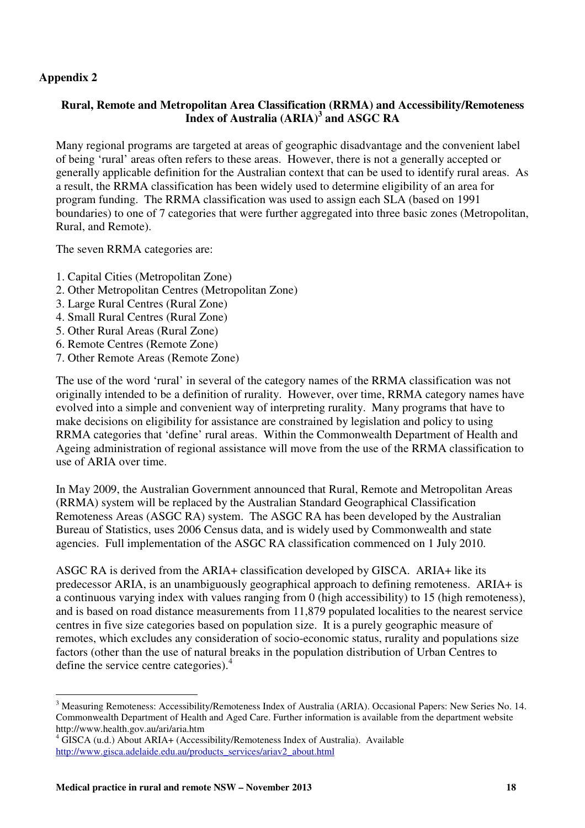## **Appendix 2**

## **Rural, Remote and Metropolitan Area Classification (RRMA) and Accessibility/Remoteness Index of Australia (ARIA)<sup>3</sup> and ASGC RA**

Many regional programs are targeted at areas of geographic disadvantage and the convenient label of being 'rural' areas often refers to these areas. However, there is not a generally accepted or generally applicable definition for the Australian context that can be used to identify rural areas. As a result, the RRMA classification has been widely used to determine eligibility of an area for program funding. The RRMA classification was used to assign each SLA (based on 1991 boundaries) to one of 7 categories that were further aggregated into three basic zones (Metropolitan, Rural, and Remote).

The seven RRMA categories are:

- 1. Capital Cities (Metropolitan Zone)
- 2. Other Metropolitan Centres (Metropolitan Zone)
- 3. Large Rural Centres (Rural Zone)
- 4. Small Rural Centres (Rural Zone)
- 5. Other Rural Areas (Rural Zone)
- 6. Remote Centres (Remote Zone)
- 7. Other Remote Areas (Remote Zone)

The use of the word 'rural' in several of the category names of the RRMA classification was not originally intended to be a definition of rurality. However, over time, RRMA category names have evolved into a simple and convenient way of interpreting rurality. Many programs that have to make decisions on eligibility for assistance are constrained by legislation and policy to using RRMA categories that 'define' rural areas. Within the Commonwealth Department of Health and Ageing administration of regional assistance will move from the use of the RRMA classification to use of ARIA over time.

In May 2009, the Australian Government announced that Rural, Remote and Metropolitan Areas (RRMA) system will be replaced by the Australian Standard Geographical Classification Remoteness Areas (ASGC RA) system. The ASGC RA has been developed by the Australian Bureau of Statistics, uses 2006 Census data, and is widely used by Commonwealth and state agencies. Full implementation of the ASGC RA classification commenced on 1 July 2010.

ASGC RA is derived from the ARIA+ classification developed by GISCA. ARIA+ like its predecessor ARIA, is an unambiguously geographical approach to defining remoteness. ARIA+ is a continuous varying index with values ranging from 0 (high accessibility) to 15 (high remoteness), and is based on road distance measurements from 11,879 populated localities to the nearest service centres in five size categories based on population size. It is a purely geographic measure of remotes, which excludes any consideration of socio-economic status, rurality and populations size factors (other than the use of natural breaks in the population distribution of Urban Centres to define the service centre categories).<sup>4</sup>

 $\overline{a}$ <sup>3</sup> Measuring Remoteness: Accessibility/Remoteness Index of Australia (ARIA). Occasional Papers: New Series No. 14. Commonwealth Department of Health and Aged Care. Further information is available from the department website http://www.health.gov.au/ari/aria.htm

<sup>&</sup>lt;sup>4</sup> GISCA (u.d.) About ARIA+ (Accessibility/Remoteness Index of Australia). Available http://www.gisca.adelaide.edu.au/products\_services/ariav2\_about.html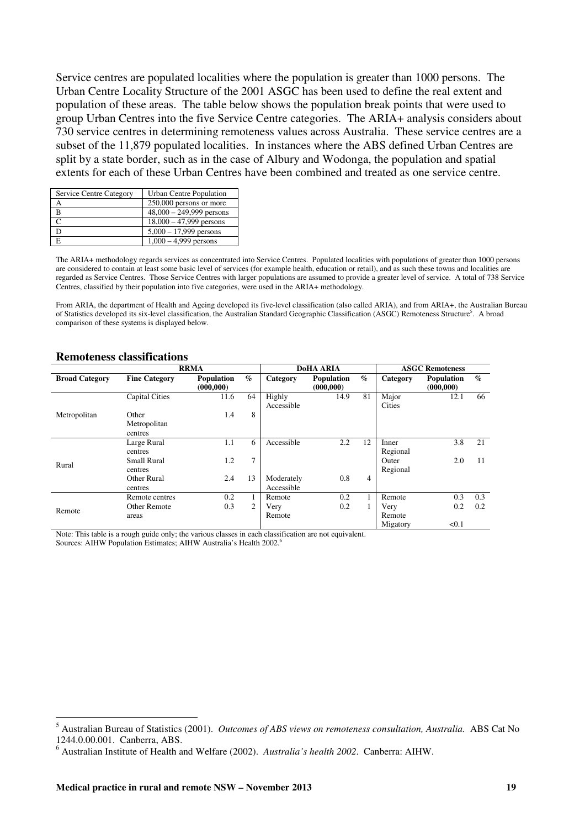Service centres are populated localities where the population is greater than 1000 persons. The Urban Centre Locality Structure of the 2001 ASGC has been used to define the real extent and population of these areas. The table below shows the population break points that were used to group Urban Centres into the five Service Centre categories. The ARIA+ analysis considers about 730 service centres in determining remoteness values across Australia. These service centres are a subset of the 11,879 populated localities. In instances where the ABS defined Urban Centres are split by a state border, such as in the case of Albury and Wodonga, the population and spatial extents for each of these Urban Centres have been combined and treated as one service centre.

| Service Centre Category | Urban Centre Population    |
|-------------------------|----------------------------|
|                         | 250,000 persons or more    |
|                         | $48,000 - 249,999$ persons |
|                         | $18,000 - 47,999$ persons  |
|                         | $5,000 - 17,999$ persons   |
|                         | $1,000 - 4,999$ persons    |

The ARIA+ methodology regards services as concentrated into Service Centres. Populated localities with populations of greater than 1000 persons are considered to contain at least some basic level of services (for example health, education or retail), and as such these towns and localities are regarded as Service Centres. Those Service Centres with larger populations are assumed to provide a greater level of service. A total of 738 Service Centres, classified by their population into five categories, were used in the ARIA+ methodology.

From ARIA, the department of Health and Ageing developed its five-level classification (also called ARIA), and from ARIA+, the Australian Bureau of Statistics developed its six-level classification, the Australian Standard Geographic Classification (ASGC) Remoteness Structure<sup>5</sup>. A broad comparison of these systems is displayed below.

|                       |                       | <b>RRMA</b>                     |                | <b>DoHA ARIA</b>     |                          |                | <b>ASGC Remoteness</b> |                                 |                        |
|-----------------------|-----------------------|---------------------------------|----------------|----------------------|--------------------------|----------------|------------------------|---------------------------------|------------------------|
| <b>Broad Category</b> | <b>Fine Category</b>  | <b>Population</b><br>(000, 000) | $\%$           | Category             | Population<br>(000, 000) | $\%$           | Category               | <b>Population</b><br>(000, 000) | $\mathcal{G}_{\Omega}$ |
|                       | <b>Capital Cities</b> | 11.6                            | 64             | Highly<br>Accessible | 14.9                     | 81             | Major<br>Cities        | 12.1                            | 66                     |
| Metropolitan          | Other                 | 1.4                             | 8              |                      |                          |                |                        |                                 |                        |
|                       | Metropolitan          |                                 |                |                      |                          |                |                        |                                 |                        |
|                       | centres               |                                 |                |                      |                          |                |                        |                                 |                        |
|                       | Large Rural           | 1.1                             | 6              | Accessible           | 2.2                      | 12             | Inner                  | 3.8                             | 21                     |
|                       | centres               |                                 |                |                      |                          |                | Regional               |                                 |                        |
| Rural                 | Small Rural           | 1.2                             | $\overline{7}$ |                      |                          |                | Outer                  | 2.0                             | 11                     |
|                       | centres               |                                 |                |                      |                          |                | Regional               |                                 |                        |
|                       | Other Rural           | 2.4                             | 13             | Moderately           | 0.8                      | $\overline{4}$ |                        |                                 |                        |
|                       | centres               |                                 |                | Accessible           |                          |                |                        |                                 |                        |
|                       | Remote centres        | 0.2                             | 1              | Remote               | 0.2                      |                | Remote                 | 0.3                             | 0.3                    |
| Remote                | <b>Other Remote</b>   | 0.3                             | 2              | Very                 | 0.2                      |                | Very                   | 0.2                             | 0.2                    |
|                       | areas                 |                                 |                | Remote               |                          |                | Remote                 |                                 |                        |
|                       |                       |                                 |                |                      |                          |                | Migatory               | < 0.1                           |                        |

#### **Remoteness classifications**

 $\overline{a}$ 

Note: This table is a rough guide only; the various classes in each classification are not equivalent.

Sources: AIHW Population Estimates; AIHW Australia's Health 2002.<sup>6</sup>

<sup>5</sup> Australian Bureau of Statistics (2001). *Outcomes of ABS views on remoteness consultation, Australia.* ABS Cat No 1244.0.00.001. Canberra, ABS.

<sup>6</sup> Australian Institute of Health and Welfare (2002). *Australia's health 2002*. Canberra: AIHW.